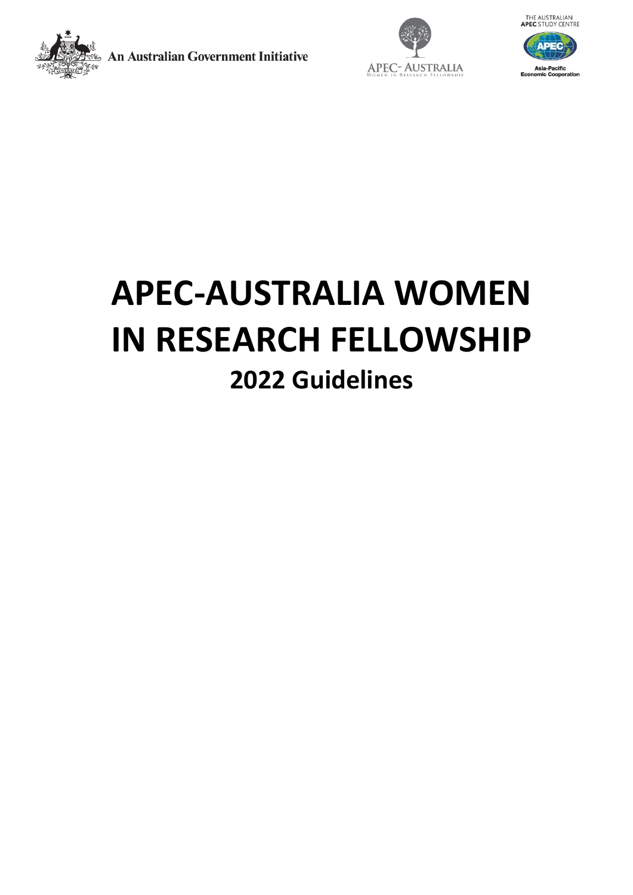

**An Australian Government Initiative** 





# **APEC-AUSTRALIA WOMEN IN RESEARCH FELLOWSHIP 2022 Guidelines**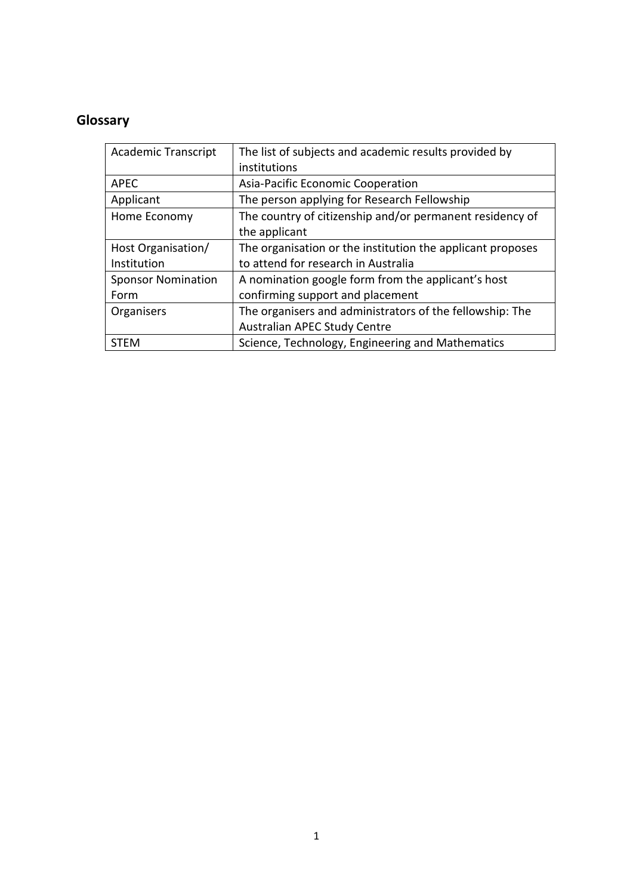# **Glossary**

| <b>Academic Transcript</b> | The list of subjects and academic results provided by      |
|----------------------------|------------------------------------------------------------|
|                            | institutions                                               |
| <b>APEC</b>                | Asia-Pacific Economic Cooperation                          |
| Applicant                  | The person applying for Research Fellowship                |
| Home Economy               | The country of citizenship and/or permanent residency of   |
|                            | the applicant                                              |
| Host Organisation/         | The organisation or the institution the applicant proposes |
| Institution                | to attend for research in Australia                        |
| <b>Sponsor Nomination</b>  | A nomination google form from the applicant's host         |
| Form                       | confirming support and placement                           |
| Organisers                 | The organisers and administrators of the fellowship: The   |
|                            | Australian APEC Study Centre                               |
| STEM                       | Science, Technology, Engineering and Mathematics           |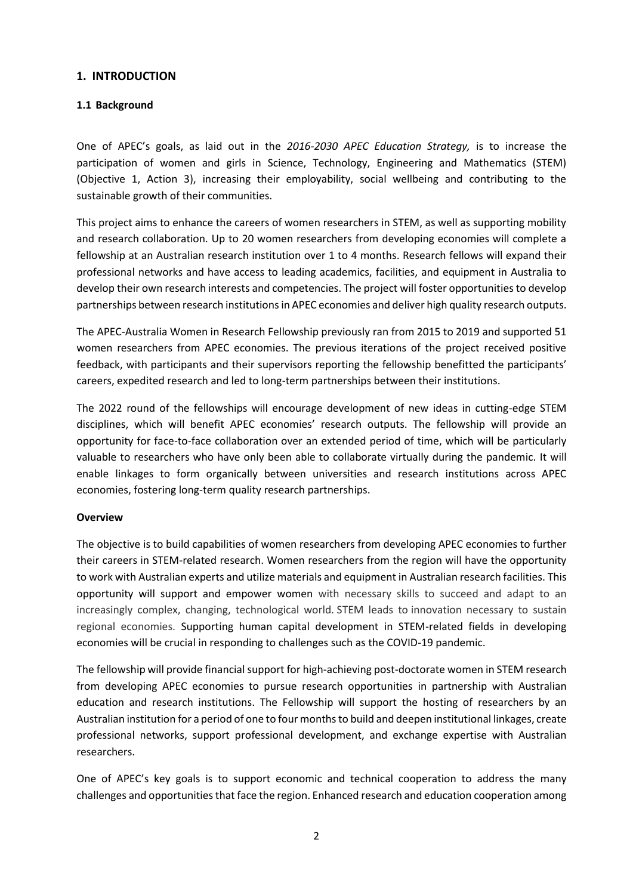# **1. INTRODUCTION**

# **1.1 Background**

One of APEC's goals, as laid out in the *2016-2030 APEC Education Strategy,* is to increase the participation of women and girls in Science, Technology, Engineering and Mathematics (STEM) (Objective 1, Action 3), increasing their employability, social wellbeing and contributing to the sustainable growth of their communities.

This project aims to enhance the careers of women researchers in STEM, as well as supporting mobility and research collaboration. Up to 20 women researchers from developing economies will complete a fellowship at an Australian research institution over 1 to 4 months. Research fellows will expand their professional networks and have access to leading academics, facilities, and equipment in Australia to develop their own research interests and competencies. The project will foster opportunities to develop partnerships between research institutions in APEC economies and deliver high quality research outputs.

The APEC-Australia Women in Research Fellowship previously ran from 2015 to 2019 and supported 51 women researchers from APEC economies. The previous iterations of the project received positive feedback, with participants and their supervisors reporting the fellowship benefitted the participants' careers, expedited research and led to long-term partnerships between their institutions.

The 2022 round of the fellowships will encourage development of new ideas in cutting-edge STEM disciplines, which will benefit APEC economies' research outputs. The fellowship will provide an opportunity for face-to-face collaboration over an extended period of time, which will be particularly valuable to researchers who have only been able to collaborate virtually during the pandemic. It will enable linkages to form organically between universities and research institutions across APEC economies, fostering long-term quality research partnerships.

#### **Overview**

The objective is to build capabilities of women researchers from developing APEC economies to further their careers in STEM-related research. Women researchers from the region will have the opportunity to work with Australian experts and utilize materials and equipment in Australian research facilities. This opportunity will support and empower women with necessary skills to succeed and adapt to an increasingly complex, changing, technological world. STEM leads to innovation necessary to sustain regional economies. Supporting human capital development in STEM-related fields in developing economies will be crucial in responding to challenges such as the COVID-19 pandemic.

The fellowship will provide financial support for high-achieving post-doctorate women in STEM research from developing APEC economies to pursue research opportunities in partnership with Australian education and research institutions. The Fellowship will support the hosting of researchers by an Australian institution for a period of one to four months to build and deepen institutional linkages, create professional networks, support professional development, and exchange expertise with Australian researchers.

One of APEC's key goals is to support economic and technical cooperation to address the many challenges and opportunities that face the region. Enhanced research and education cooperation among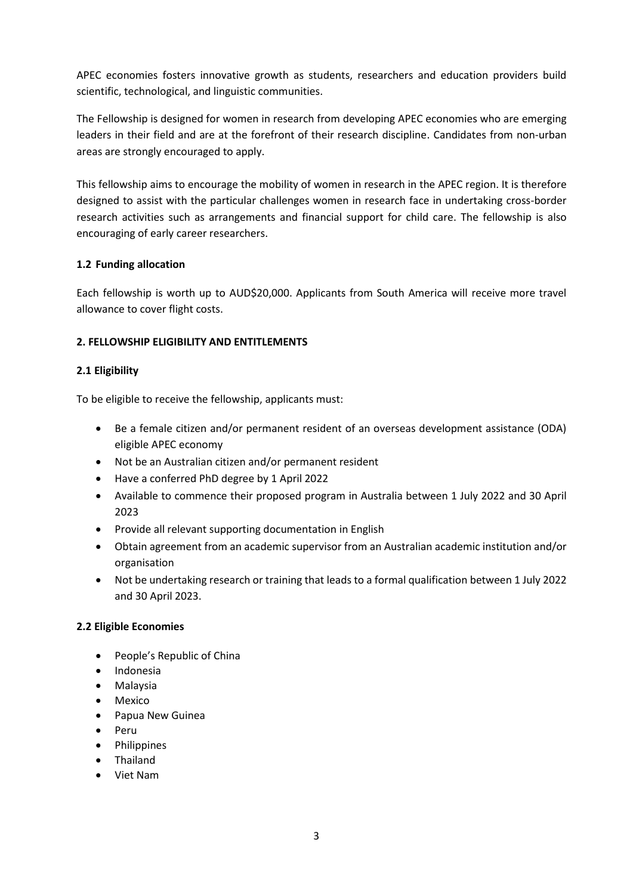APEC economies fosters innovative growth as students, researchers and education providers build scientific, technological, and linguistic communities.

The Fellowship is designed for women in research from developing APEC economies who are emerging leaders in their field and are at the forefront of their research discipline. Candidates from non-urban areas are strongly encouraged to apply.

This fellowship aims to encourage the mobility of women in research in the APEC region. It is therefore designed to assist with the particular challenges women in research face in undertaking cross-border research activities such as arrangements and financial support for child care. The fellowship is also encouraging of early career researchers.

# **1.2 Funding allocation**

Each fellowship is worth up to AUD\$20,000. Applicants from South America will receive more travel allowance to cover flight costs.

# **2. FELLOWSHIP ELIGIBILITY AND ENTITLEMENTS**

#### **2.1 Eligibility**

To be eligible to receive the fellowship, applicants must:

- Be a female citizen and/or permanent resident of an overseas development assistance (ODA) eligible APEC economy
- Not be an Australian citizen and/or permanent resident
- Have a conferred PhD degree by 1 April 2022
- Available to commence their proposed program in Australia between 1 July 2022 and 30 April 2023
- Provide all relevant supporting documentation in English
- Obtain agreement from an academic supervisor from an Australian academic institution and/or organisation
- Not be undertaking research or training that leads to a formal qualification between 1 July 2022 and 30 April 2023.

#### **2.2 Eligible Economies**

- People's Republic of China
- Indonesia
- Malaysia
- Mexico
- Papua New Guinea
- Peru
- **Philippines**
- Thailand
- Viet Nam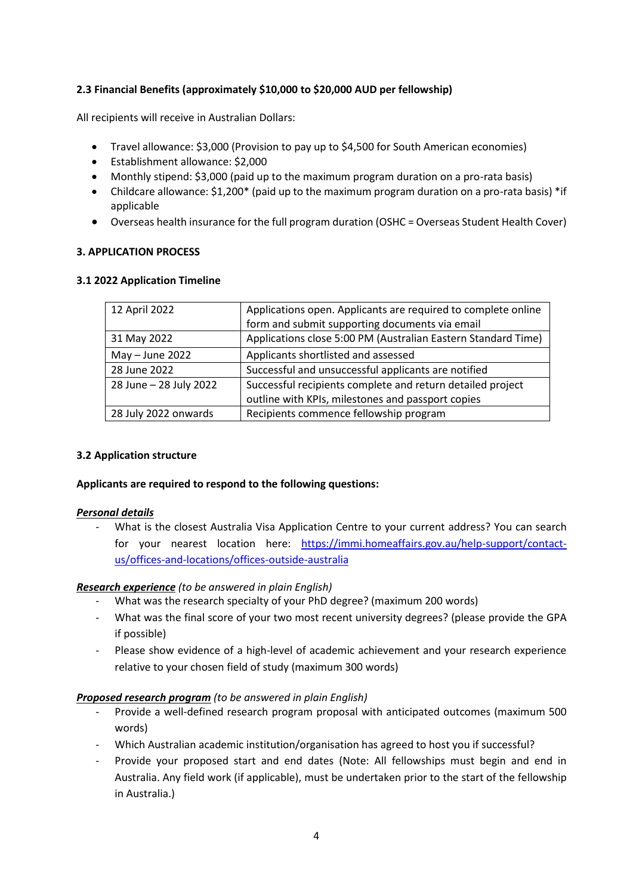# **2.3 Financial Benefits (approximately \$10,000 to \$20,000 AUD per fellowship)**

All recipients will receive in Australian Dollars:

- Travel allowance: \$3,000 (Provision to pay up to \$4,500 for South American economies)
- Establishment allowance: \$2,000
- Monthly stipend: \$3,000 (paid up to the maximum program duration on a pro-rata basis)
- Childcare allowance: \$1,200\* (paid up to the maximum program duration on a pro-rata basis) \*if applicable
- Overseas health insurance for the full program duration (OSHC = Overseas Student Health Cover)

# **3. APPLICATION PROCESS**

#### **3.1 2022 Application Timeline**

| 12 April 2022          | Applications open. Applicants are required to complete online |
|------------------------|---------------------------------------------------------------|
|                        | form and submit supporting documents via email                |
| 31 May 2022            | Applications close 5:00 PM (Australian Eastern Standard Time) |
| $May - June 2022$      | Applicants shortlisted and assessed                           |
| 28 June 2022           | Successful and unsuccessful applicants are notified           |
| 28 June - 28 July 2022 | Successful recipients complete and return detailed project    |
|                        | outline with KPIs, milestones and passport copies             |
| 28 July 2022 onwards   | Recipients commence fellowship program                        |

#### **3.2 Application structure**

#### **Applicants are required to respond to the following questions:**

#### *Personal details*

What is the closest Australia Visa Application Centre to your current address? You can search for your nearest location here: [https://immi.homeaffairs.gov.au/help-support/contact](https://immi.homeaffairs.gov.au/help-support/contact-us/offices-and-locations/offices-outside-australia)[us/offices-and-locations/offices-outside-australia](https://immi.homeaffairs.gov.au/help-support/contact-us/offices-and-locations/offices-outside-australia)

# *Research experience (to be answered in plain English)*

- What was the research specialty of your PhD degree? (maximum 200 words)
- What was the final score of your two most recent university degrees? (please provide the GPA if possible)
- Please show evidence of a high-level of academic achievement and your research experience relative to your chosen field of study (maximum 300 words)

# *Proposed research program (to be answered in plain English)*

- Provide a well-defined research program proposal with anticipated outcomes (maximum 500 words)
- Which Australian academic institution/organisation has agreed to host you if successful?
- Provide your proposed start and end dates (Note: All fellowships must begin and end in Australia. Any field work (if applicable), must be undertaken prior to the start of the fellowship in Australia.)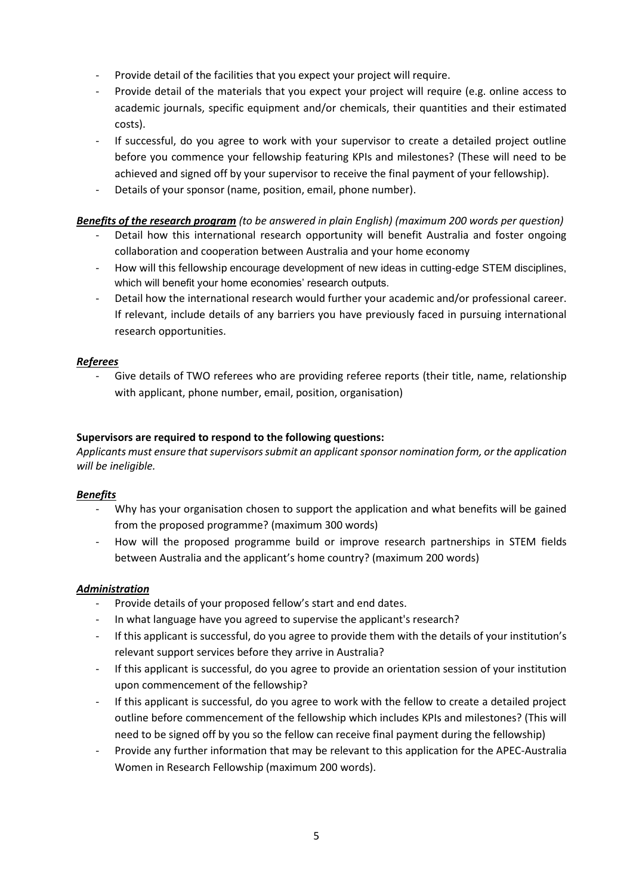- Provide detail of the facilities that you expect your project will require.
- Provide detail of the materials that you expect your project will require (e.g. online access to academic journals, specific equipment and/or chemicals, their quantities and their estimated costs).
- If successful, do you agree to work with your supervisor to create a detailed project outline before you commence your fellowship featuring KPIs and milestones? (These will need to be achieved and signed off by your supervisor to receive the final payment of your fellowship).
- Details of your sponsor (name, position, email, phone number).

# *Benefits of the research program (to be answered in plain English) (maximum 200 words per question)*

- Detail how this international research opportunity will benefit Australia and foster ongoing collaboration and cooperation between Australia and your home economy
- How will this fellowship encourage development of new ideas in cutting-edge STEM disciplines, which will benefit your home economies' research outputs.
- Detail how the international research would further your academic and/or professional career. If relevant, include details of any barriers you have previously faced in pursuing international research opportunities.

# *Referees*

Give details of TWO referees who are providing referee reports (their title, name, relationship with applicant, phone number, email, position, organisation)

# **Supervisors are required to respond to the following questions:**

*Applicants must ensure that supervisors submit an applicant sponsor nomination form, or the application will be ineligible.*

#### *Benefits*

- Why has your organisation chosen to support the application and what benefits will be gained from the proposed programme? (maximum 300 words)
- How will the proposed programme build or improve research partnerships in STEM fields between Australia and the applicant's home country? (maximum 200 words)

#### *Administration*

- Provide details of your proposed fellow's start and end dates.
- In what language have you agreed to supervise the applicant's research?
- If this applicant is successful, do you agree to provide them with the details of your institution's relevant support services before they arrive in Australia?
- If this applicant is successful, do you agree to provide an orientation session of your institution upon commencement of the fellowship?
- If this applicant is successful, do you agree to work with the fellow to create a detailed project outline before commencement of the fellowship which includes KPIs and milestones? (This will need to be signed off by you so the fellow can receive final payment during the fellowship)
- Provide any further information that may be relevant to this application for the APEC-Australia Women in Research Fellowship (maximum 200 words).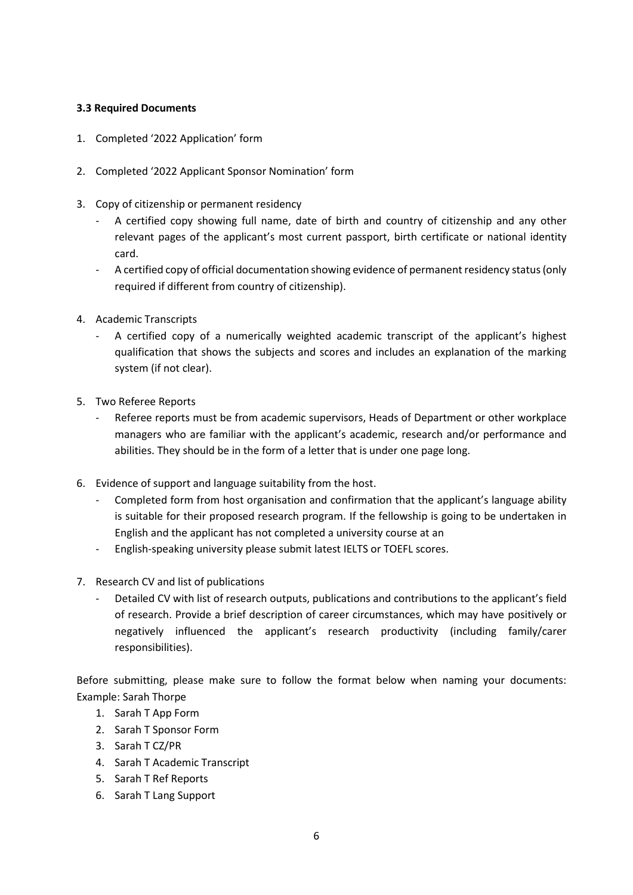# **3.3 Required Documents**

- 1. Completed '2022 Application' form
- 2. Completed '2022 Applicant Sponsor Nomination' form
- 3. Copy of citizenship or permanent residency
	- A certified copy showing full name, date of birth and country of citizenship and any other relevant pages of the applicant's most current passport, birth certificate or national identity card.
	- A certified copy of official documentation showing evidence of permanent residency status (only required if different from country of citizenship).
- 4. Academic Transcripts
	- A certified copy of a numerically weighted academic transcript of the applicant's highest qualification that shows the subjects and scores and includes an explanation of the marking system (if not clear).
- 5. Two Referee Reports
	- Referee reports must be from academic supervisors, Heads of Department or other workplace managers who are familiar with the applicant's academic, research and/or performance and abilities. They should be in the form of a letter that is under one page long.
- 6. Evidence of support and language suitability from the host.
	- Completed form from host organisation and confirmation that the applicant's language ability is suitable for their proposed research program. If the fellowship is going to be undertaken in English and the applicant has not completed a university course at an
	- English-speaking university please submit latest IELTS or TOEFL scores.
- 7. Research CV and list of publications
	- Detailed CV with list of research outputs, publications and contributions to the applicant's field of research. Provide a brief description of career circumstances, which may have positively or negatively influenced the applicant's research productivity (including family/carer responsibilities).

Before submitting, please make sure to follow the format below when naming your documents: Example: Sarah Thorpe

- 1. Sarah T App Form
- 2. Sarah T Sponsor Form
- 3. Sarah T CZ/PR
- 4. Sarah T Academic Transcript
- 5. Sarah T Ref Reports
- 6. Sarah T Lang Support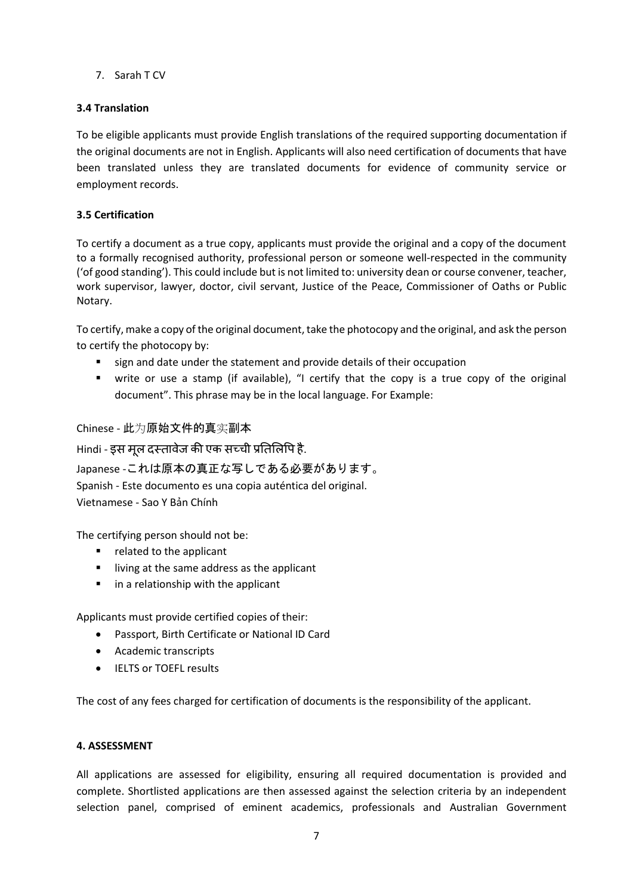7. Sarah T CV

# **3.4 Translation**

To be eligible applicants must provide English translations of the required supporting documentation if the original documents are not in English. Applicants will also need certification of documents that have been translated unless they are translated documents for evidence of community service or employment records.

# **3.5 Certification**

To certify a document as a true copy, applicants must provide the original and a copy of the document to a formally recognised authority, professional person or someone well-respected in the community ('of good standing'). This could include but is not limited to: university dean or course convener, teacher, work supervisor, lawyer, doctor, civil servant, Justice of the Peace, Commissioner of Oaths or Public Notary.

To certify, make a copy of the original document, take the photocopy and the original, and ask the person to certify the photocopy by:

- sign and date under the statement and provide details of their occupation
- write or use a stamp (if available), "I certify that the copy is a true copy of the original document". This phrase may be in the local language. For Example:

Chinese - 此为原始文件的真实副本

Hindi - इस मूल दस्तावेज की एक सच्ची प्रतिलिपि है.

Japanese -これは原本の真正な写しである必要があります。 Spanish - Este documento es una copia auténtica del original. Vietnamese - Sao Y Bản Chính

The certifying person should not be:

- related to the applicant
- living at the same address as the applicant
- in a relationship with the applicant

Applicants must provide certified copies of their:

- Passport, Birth Certificate or National ID Card
- Academic transcripts
- IELTS or TOEFL results

The cost of any fees charged for certification of documents is the responsibility of the applicant.

# **4. ASSESSMENT**

All applications are assessed for eligibility, ensuring all required documentation is provided and complete. Shortlisted applications are then assessed against the selection criteria by an independent selection panel, comprised of eminent academics, professionals and Australian Government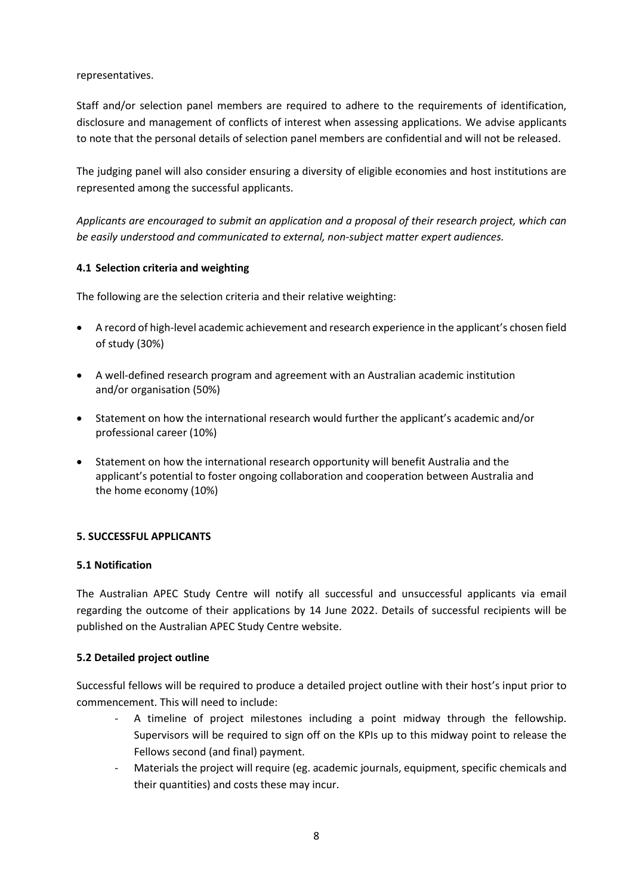representatives.

Staff and/or selection panel members are required to adhere to the requirements of identification, disclosure and management of conflicts of interest when assessing applications. We advise applicants to note that the personal details of selection panel members are confidential and will not be released.

The judging panel will also consider ensuring a diversity of eligible economies and host institutions are represented among the successful applicants.

*Applicants are encouraged to submit an application and a proposal of their research project, which can be easily understood and communicated to external, non-subject matter expert audiences.*

# **4.1 Selection criteria and weighting**

The following are the selection criteria and their relative weighting:

- A record of high-level academic achievement and research experience in the applicant's chosen field of study (30%)
- A well-defined research program and agreement with an Australian academic institution and/or organisation (50%)
- Statement on how the international research would further the applicant's academic and/or professional career (10%)
- Statement on how the international research opportunity will benefit Australia and the applicant's potential to foster ongoing collaboration and cooperation between Australia and the home economy (10%)

# **5. SUCCESSFUL APPLICANTS**

#### **5.1 Notification**

The Australian APEC Study Centre will notify all successful and unsuccessful applicants via email regarding the outcome of their applications by 14 June 2022. Details of successful recipients will be published on the Australian APEC Study Centre website.

#### **5.2 Detailed project outline**

Successful fellows will be required to produce a detailed project outline with their host's input prior to commencement. This will need to include:

- A timeline of project milestones including a point midway through the fellowship. Supervisors will be required to sign off on the KPIs up to this midway point to release the Fellows second (and final) payment.
- Materials the project will require (eg. academic journals, equipment, specific chemicals and their quantities) and costs these may incur.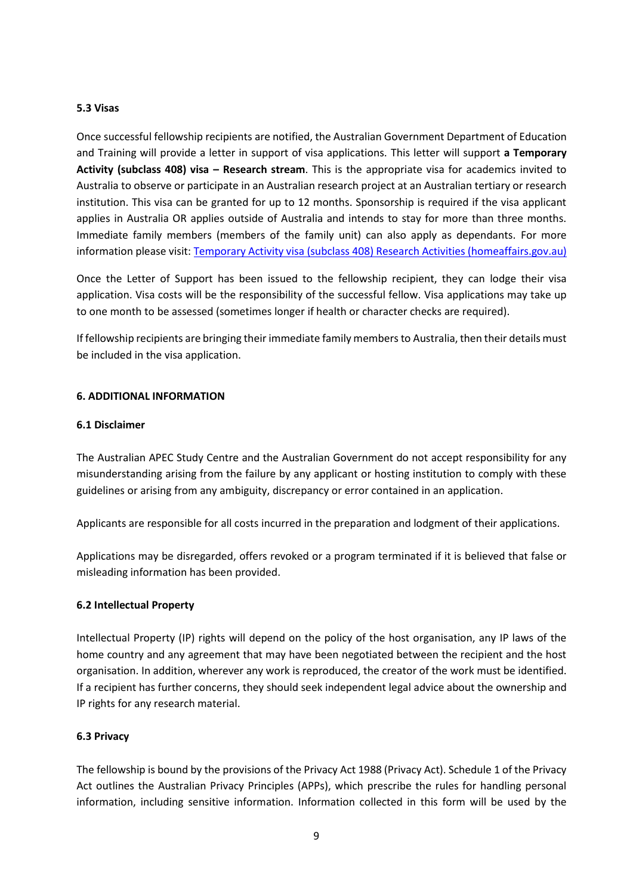#### **5.3 Visas**

Once successful fellowship recipients are notified, the Australian Government Department of Education and Training will provide a letter in support of visa applications. This letter will support **a Temporary Activity (subclass 408) visa – Research stream**. This is the appropriate visa for academics invited to Australia to observe or participate in an Australian research project at an Australian tertiary or research institution. This visa can be granted for up to 12 months. Sponsorship is required if the visa applicant applies in Australia OR applies outside of Australia and intends to stay for more than three months. Immediate family members (members of the family unit) can also apply as dependants. For more information please visit: [Temporary Activity visa \(subclass 408\) Research Activities \(homeaffairs.gov.au\)](https://immi.homeaffairs.gov.au/visas/getting-a-visa/visa-listing/temporary-activity-408/research-activities#Overview)

Once the Letter of Support has been issued to the fellowship recipient, they can lodge their visa application. Visa costs will be the responsibility of the successful fellow. Visa applications may take up to one month to be assessed (sometimes longer if health or character checks are required).

If fellowship recipients are bringing their immediate family members to Australia, then their details must be included in the visa application.

#### **6. ADDITIONAL INFORMATION**

#### **6.1 Disclaimer**

The Australian APEC Study Centre and the Australian Government do not accept responsibility for any misunderstanding arising from the failure by any applicant or hosting institution to comply with these guidelines or arising from any ambiguity, discrepancy or error contained in an application.

Applicants are responsible for all costs incurred in the preparation and lodgment of their applications.

Applications may be disregarded, offers revoked or a program terminated if it is believed that false or misleading information has been provided.

#### **6.2 Intellectual Property**

Intellectual Property (IP) rights will depend on the policy of the host organisation, any IP laws of the home country and any agreement that may have been negotiated between the recipient and the host organisation. In addition, wherever any work is reproduced, the creator of the work must be identified. If a recipient has further concerns, they should seek independent legal advice about the ownership and IP rights for any research material.

# **6.3 Privacy**

The fellowship is bound by the provisions of the Privacy Act 1988 (Privacy Act). Schedule 1 of the Privacy Act outlines the Australian Privacy Principles (APPs), which prescribe the rules for handling personal information, including sensitive information. Information collected in this form will be used by the